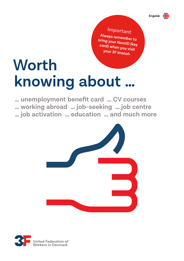

**Important Always remember to bring your NemID (key card) when you visit your 3F branch**

# **Worth knowing about …**

**… unemployment benefit card … CV courses … working abroad … job-seeking … job centre … job activation … education … and much more**



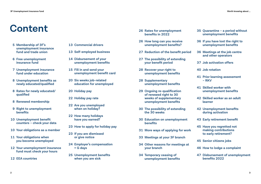# **Content 26 Rates for unemployment**

- **5 Membership of 3F's unemployment insurance fund and trade union**
- **6 Free unemployment insurance fund**
- **7 Unemployment insurance fund under education**
- **8 Unemployment benefits as newly educated/qualified**
- **8 Rates for newly educated/ qualified**
- **8 Renewed membership**
- **9 Right to unemployment benefits**
- **10 Unemployment benefit counters – check your data**
- **10 Your obligations as a member**
- **11 Your obligations when you become unemployed**
- **12 Your unemployment insurance fund must check your hours**
- **12 EEA countries**
- **13 Commercial drivers**
- **13 Self-employed business**
- **14 Disbursement of your unemployment benefits**
- **15 Fill in and send your unemployment benefit card**
- **20 Six weeks job-related education for unemployed**
- **20 Holiday pay**
- **22 Holiday pay rate**
- **22 Are you unemployed when on holiday?**
- **22 How many holidays have you earned?**
- **23 How to apply for holiday pay**
- **23 If you are dismissed or give notice**
- **24 Employer's compensation = G days**
- **25 Unemployment benefits when you are sick**
- **benefits in 2022**
- **26 How long can you receive unemployment benefits?**
- **27 Reduction of the benefit period**
- **27 The possibility of extending your benefit period**
- **28 Recover your right to unemployment benefits**
- **28 Supplementary unemployment benefits**
- **29 Ongoing re-qualification of renewed right to 30 weeks of supplementary unemployment benefits**
- **30 The possibility of extending the 30 weeks**
- **30 Education on unemployment benefits**
- **31 More ways of applying for work**
- **33 Meetings at your 3F branch**
- **34 Other reasons for meetings at your branch**
- **34 Temporary ceasing of unemployment benefits**
- **35 Quarantine a period without unemployment benefits**
- **36 If you have lost the right to unemployment benefits**
- **36 Meetings at the job centre and other operators**
- **37 Job activation offers**
- **40 Job rotation**
- **41 Prior learning assessment – RKV**
- **41 Skilled worker with unemployment benefits**
- **42 Skilled worker as an adult learner**
- **42 Unemployment benefits during activation**
- **43 Early retirement benefit**
- **45 Have you regretted not making contributions to early retirement?**
- **45 Senior citizens jobs**
- **46 How to lodge a complaint**
- **47 Disbursement of unemployment benefits 2022**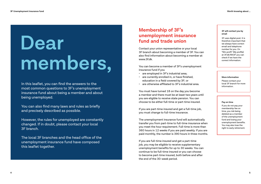# **Dear members,**

In this leaflet, you can find the answers to the most common questions to 3F's unemployment insurance fund about being a member and about being unemployed.

You can also find many laws and rules as briefly and precisely described as possible.

However, the rules for unemployed are constantly changed. If in doubt, please contact your local 3F branch.

The local 3F branches and the head office of the unemployment insurance fund have composed this leaflet together.

### **Membership of 3F's unemployment insurance fund and trade union**

Contact your union representative or your local 3F branch about becoming a member of 3F. You can also find information about becoming a member at www.3f.dk.

You can become a member of 3F's unemployment insurance fund if you

- are employed in 3F's industrial area;
- are currently enrolled in, or have finished, education in a field covered by 3F; or
- are otherwise affiliated to 3F's industrial area.

You must have turned 18 on the day you become a member and there must be at least two years until you are eligible to receive state pension. You can choose to be either full-time or part-time insured.

If you are part-time insured and get a full-time job, you must change to full-time insurance.

The unemployment insurance fund will automatically transfer you from part-time to full-time insurance when you meet the hour requirement. Full-time is more than 360 hours in 12 weeks if you are paid weekly. If you are paid monthly, the number is 390 hours in three months.

If you are full-time insured and get a part-time job, you may be eligible to receive supplementary unemployment benefits for up to 30 weeks. You can continue to be full-time insured or you can choose to become part-time insured, both before and after the end of the 30-week period.

#### **3F will contact you by email**

3F uses digital post. It is therefore important that we always have correct email and telephone number for you. On "Min profil" (My profile) at 3F.dk/Mit3F you can check if we have the correct information.

#### **More information**

Please contact your local 3F branch for more information.

#### **Pay on time**

If you do not pay your membership fee on time, you risk being deleted as a member of the unemployment fund and losing your unemployment benefits. You may also lose the right to early retirement.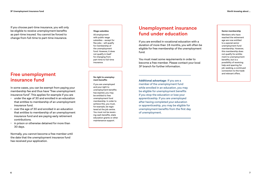If you choose part-time insurance, you will only be eligible to receive unemployment benefits as part-time insured. You cannot be forced to change from full-time to part-time insurance.

### **Free unemployment insurance fund**

In some cases, you can be exempt from paying your membership fee and thus have "free unemployment insurance fund". This applies for example if you are

- under the age of 30 and enrolled in an education that entitles to membership of an unemployment insurance fund.
- over the age of 30 and enrolled in an education that entitles to membership of an unemployment insurance fund and are paying early retirement contributions.
- in prison or otherwise detained for more than 30 days.

Normally, you cannot become a free member until the date that the unemployment insurance fund has received your application.

#### **Wage subsidies**

All employment with public wage subsidies – except for flex jobs - will qualify for membership of the unemployment fund. However, it does not qualify in itself for changing from part-time to full-time insurance.

**No right to unemployment benefits** If you are unemployed and your right to unemployment benefits has expired, you may be entitled to free unemployment fund membership. In order to achieve this, you must, for example, be registered at the job centre. You must not be receiving cash benefits, state education grants or other maintenance support.

### **Unemployment insurance fund under education**

If you are enrolled in vocational education with a duration of more than 18 months, you will often be eligible for free membership of the unemployment fund.

You must meet some requirements in order to become a free member. Please contact your local 3F branch for further information.

**Additional advantage**: If you are a member of the unemployment fund while enrolled in an education, you may be eligible for unemployment benefits if you stop the education or lose your apprenticeship. If you are unemployed after having completed your education or apprenticeship, you may be eligible for unemployment benefits from the first day of unemployment.

#### **Senior membership**

Members who have reached the retirement age are now entitled to a special senior unemployment fund membership. However, this membership does not qualify for entitlement to unemployment benefits, but is a possibility of receiving help and sparring for job-seeking, a continued connection to the trade and relevant offers.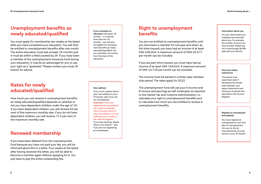### **Unemployment benefits as newly educated/qualified**

You must apply for membership two weeks at the latest after you have completed your education. You will then be entitled to unemployment benefits after one month. The entire education must last at least 18 months and it must be within a field covered by 3F. If you have been a member of the unemployment insurance fund during your education, it may be an advantage for you to use your right as a "graduate". Please contact your local 3F branch for advice.

#### **If you complete an education** that lasts 18 months – in a shorter time than the 18 months – you will also be eligible for unemploy ment benefits as newly educated/qualified, but not until after 18 months from the start of the education.

### **Rates for newly educated/qualified**

How much you can receive in unemployment benefits as newly educated/qualified depends on whether or not you have dependent children under the age of 18. If you have dependent children, you will receive 82 per cent of the maximum monthly rate. If you do not have dependent children, you will receive 71.5 per cent of the maximum monthly rate.

### **Renewed membership**

If you have been deleted from the unemployment fund because you have not paid your fee, you will be informed about this in a letter. Four weeks at the latest after having received the letter, you will be able to become a member again without applying for it. You just have to pay the entire outstanding fee.

#### **New address**

If you move, please inform your new address to your 3F branch, also if you are not unemployed. **Important**: If you are registered as unemployed, you must immediately inform the job centre of your new address. It is not sufficient just to write to the national register. If you stop working, please inform your branch – also if you are not registering as unemployed.

### **Right to unemployment benefits**

You are not entitled to unemployment benefits until you have been a member for one year and when, as full-time insured, you have had an income of at least DKK 246,924. A maximum amount of DKK 20,577 per month can be included.

If you are part-time insured, you must have had an income of at least DKK 164,616. A maximum amount of DKK 13,718 per month can be included.

The income must be earned in a three-year member ship period. The rates apply for 2022.

The unemployment fund will use your A income and B income and earnings as self-employed, as reported to the Danish Tax and Customs Administration, to calculate your right to unemployment benefits and to calculate how much you are entitled to receive in unemployment benefits.

#### **Information about you**

You can check what your employer has informed about you, for example the number of hours you have worked. Please log on to www.borger.dk/Min side with your NemID.

#### **Save your salary statements**

The branch may need them later if discrepancies should arise between your salary statements and what your employer has reported to the Income Register.

#### **Register as unemployed immediately**

You must register as unemployed on your first day of unemployment. You can do this at www.jobnet.dk, your job centre or your 3F branch.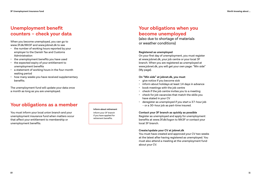### **Unemployment benefit counters – check your data**

When you become unemployed, you can go to www.3f.dk/Mit3F and www.jobnet.dk to see

- the number of working hours reported by your employer to the Danish Tax and Customs Administration
- the unemployment benefits you have used
- the expected expiry of your entitlement to unemployment benefits
- a statement of working hours in the four-month waiting period
- how many weeks you have received supplementary benefits.

The unemployment fund will update your data once a month as long as you are unemployed.

### **Your obligations as a member**

You must inform your local union branch and your unemployment insurance fund when matters occur that affect your entitlement to membership or unemployment benefits.

**Inform about retirement** Inform your 3F branch if you have applied for retirement benefits.

### **Your obligations when you become unemployed**

(also due to shortage of materials or weather conditions)

#### **Registered as unemployed**

On your first day of unemployment, you must register at www.jobnet.dk, your job centre or your local 3F branch. When you are registered as unemployed at www.jobnet.dk, you will get your own page: "Min side" (My page).

#### **On "Min side" at jobnet.dk, you must**

- give notice if you become sick
- inform about holidays at least 14 days in advance
- book meetings with the job centre
- check if the job centre invites you to a meeting
- check for job vacancies that match the skills you have stated in your CV
- deregister as unemployed if you start a 37-hour job – or a 30-hour job as part-time insured.

#### **Contact your 3F branch as quickly as possible**

Register as unemployed and apply for unemployment benefits at www.3f.dk/logon to Mit3F or contact your local 3F branch.

#### **Create/update your CV at jobnet.dk**

You must have created and approved your CV two weeks at the latest after having registered as unemployed. You must also attend a meeting at the unemployment fund about your CV.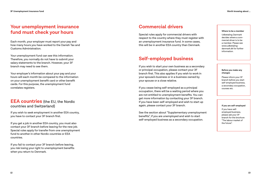### **Your unemployment insurance fund must check your hours**

Each month, your employer must report your pay and how many hours you have worked to the Danish Tax and Customs Administration.

Your unemployment fund can see this information. Therefore, you normally do not have to submit your salary statements to the branch. However, your 3F branch may need to see them.

Your employer's information about your pay and your hours will each month be compared to the information on your unemployment benefit card or other benefit cards. For this purpose, the unemployment fund correlates registers.

### **EEA countries** (the EU, the Nordic countries and Switzerland)

If you wish to seek employment in another EEA country, you have to contact your 3F branch first.

If you get a job in another EEA country, you must also contact your 3F branch before leaving for the new job. Special rules apply for transfer from one unemployment fund to another in other Nordic countries or EEA countries.

If you fail to contact your 3F branch before leaving, you risk losing your right to unemployment benefits when you return to Denmark.

### **Commercial drivers**

Special rules apply for commercial drivers with respect to the country where they must register with an unemployment insurance fund. In some cases, this will be in another EEA country than Denmark.

### **Self-employed business**

If you wish to start your own business as a secondary or principal occupation, please contact your 3F branch first. This also applies if you wish to work in your spouse's business or in a business owned by your spouse or a close relative.

If you cease being self-employed as a principal occupation, there will be a waiting period where you are not entitled to unemployment benefits. You can get more information by contacting your 3F branch. If you have been self-employed and wish to start up again, please contact your 3F branch.

See the section about "Supplementary unemployment benefits", if you are unemployed and wish to start self-employed business as a secondary occupation.

#### **Where to be a member**

Udbetaling Danmark decides where a com mercial driver is to be a member. Please see www.udbetaling danmark.dk for further information.

#### **Before you make any changes**

Please inform your 3F branch before you start self-employed business, a secondary occupation, courses etc.

#### **If you are self-employed**

If you have selfemployed business, please ask your 3F branch for the brochure "The labour market of the future".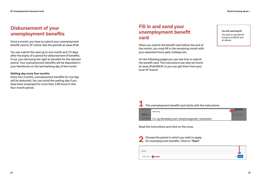### **Disbursement of your unemployment benefits**

Once a month, you have to submit your unemployment benefit card to 3F online. See the periods at www.3f.dk

You can submit the card up to one month and 10 days after the expiry of a period for disbursement of benefits. If not, you risk losing the right to benefits for the relevant period. Your unemployment benefits will be deposited in your NemKonto on the last banking day of the month.

#### **Waiting day every four months**

Every four months, unemployment benefits for one day will be deducted. You can avoid the waiting day if you have been employed for more than 148 hours in this four-month period.

### **Fill in and send your unemployment benefit card**

When you submit the benefit card before the end of the month, you must fill in the remaining month with your expected hours paid, holidays etc.

On the following pages you can see how to submit the benefit card. The instructions can also be found at www.3f.dk/Mit3F or you can get them from your local 3F branch.

**You will need NemID**

You have to use NemID to log on to Mit3F and at Jobnet.



CV og tilmelding som arbejdssøgende i jobcentret Torben Fischer,

Read the instructions and click on the cross.

| Choose the period in which you wish to apply |
|----------------------------------------------|
| for unemployment benefits. Click on "Start". |

| Periode     |   |        |
|-------------|---|--------|
| 2019: april | ັ | -Start |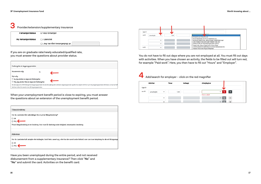### **3** Provider/extension/supplementary insurance

| Forsørgerstatus    | Er ikke forsørger                 |
|--------------------|-----------------------------------|
| Ny forsørgerstatus | ◯ Uændret                         |
|                    | ○ Jeg har fået forsørgerpligt pr. |

If you are on graduate rate/newly educated/qualified rate, you must answer the questions about provider status.

| Forlængelse af dagpengeperioden                       |    |                                                                                                                                                                                           |
|-------------------------------------------------------|----|-------------------------------------------------------------------------------------------------------------------------------------------------------------------------------------------|
| Nuværende valg:                                       | Ja |                                                                                                                                                                                           |
| Nyt valq:                                             |    |                                                                                                                                                                                           |
| $\circ$ Ja, jeg ønsker at søge om forlængelse         |    |                                                                                                                                                                                           |
| $\circ$ Nej, jeg ønsker ikke at søge om forlængelse   |    |                                                                                                                                                                                           |
| løntimer siden din seneste start på dagpengeperioden. |    | Du kan søge om at få forlænget din dagpengeperiode, hvis du har opbrugt din ordinære dagpengeperiode og ikke har optjent ret til en ny 2-årig dagpengeperiode. Det kræver, at du har haft |

When your unemployment benefit period is close to expiring, you must answer the questions about an extension of the unemployment benefit period.

| Tillægsforsikring                                                                                                                                          |
|------------------------------------------------------------------------------------------------------------------------------------------------------------|
| Har du i perioden fået udbetalinger fra en privat tillægsforsikring?                                                                                       |
| $\bigcirc$ Ja                                                                                                                                              |
| O Nej                                                                                                                                                      |
| Privat tillægsforsikring er en forsikring, hvor man får dækning under ledighed, eksempelvis lønsikring.                                                    |
|                                                                                                                                                            |
| Aktiviteter                                                                                                                                                |
|                                                                                                                                                            |
| Har du i perioden haft arbejde eller indtægter, holdt ferie, været syg, eller har der været andre forhold, som kan have betydning for din ret til dagpenge |
| $\bigcirc$ Ja                                                                                                                                              |
| $\bigcirc$ Nej                                                                                                                                             |
|                                                                                                                                                            |

Have you been unemployed during the entire period, and not received disbursement from a supplementary insurance? Then click "**No**" and "**No**" and submit the card. Activities on the benefit card.



You do not have to fill out days where you are not employed at all. You must fill out days with activities. When you have chosen an activity, the fields to be filled out will turn red, for example "Paid work". Here, you then have to fill out "Hours" and "Employer".

### **4** Add/search for employer – click on the red magnifier

|        | <b>Aktivitet</b> | <b>Timer</b>         | Indtægt | Arbejdsgiver                    |                                                      |
|--------|------------------|----------------------|---------|---------------------------------|------------------------------------------------------|
| Uge:31 |                  |                      |         |                                 |                                                      |
| on 01  | Lønarbejde       | 7,40<br>$\checkmark$ |         | $\checkmark$<br>Kraeves udfyldt | ٠<br>$\alpha$                                        |
|        |                  | $\checkmark$         |         | $\checkmark$                    | $\overline{\phantom{0}}$                             |
|        |                  | $\checkmark$         |         |                                 | $\Omega$<br>$\checkmark$<br>$\overline{\phantom{0}}$ |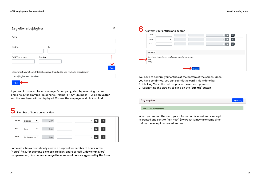| Søg efter arbejdsgiver      |                                                                                      | ×   |
|-----------------------------|--------------------------------------------------------------------------------------|-----|
| Navn                        |                                                                                      |     |
| Postnr.                     | By                                                                                   |     |
| CVR/P-nummer                | Telefon                                                                              |     |
|                             | Eller indtast navnet som fritekst herunder, hvis du ikke kan finde din arbejdsgiver: | Søg |
| Arbejdsgivernavn (fritekst) |                                                                                      |     |
| Tilføj                      |                                                                                      |     |

If you want to search for an employer/a company, start by searching for one single field, for example "Telephone", "Name" or "CVR number" – Click on **Search** and the employer will be displayed. Choose the employer and click on **Add**.

## **5** Number of hours on activities

| ma 06 | $\checkmark$<br>Sygdom | 7,40 | ٠<br>$\checkmark$<br>Ō         |
|-------|------------------------|------|--------------------------------|
| ti 07 | ◡<br>Ferie             | 7,40 | $\ddot{}$<br>$\checkmark$<br>Ο |
| on 08 | Fri for egen re ∨      | 7,40 | $\ddot{}$<br>$\checkmark$      |

Some activities automatically create a proposal for number of hours in the "Hours" field, for example Sickness, Holiday, Entire or Half G day (employers' compensation). **You cannot change the number of hours suggested by the form**. **6** Confirm your entries and submit

| ou 52        | $\checkmark$                                                               |         |  | v                        | 53                 |
|--------------|----------------------------------------------------------------------------|---------|--|--------------------------|--------------------|
| to 30        | $\checkmark$                                                               |         |  | $\checkmark$<br>$\Omega$ | $\leftarrow$       |
| fr 31        | $\checkmark$                                                               |         |  | $\vee$ $\circ$           | $\left  + \right $ |
| Underskrift  |                                                                            |         |  |                          |                    |
|              |                                                                            |         |  |                          |                    |
| $\bullet$ Ja | Jeg erklærer, at oplysningerne er rigtige, og at jeg har læst vejledningen |         |  |                          |                    |
| O Nej        |                                                                            |         |  |                          |                    |
|              |                                                                            |         |  |                          |                    |
|              |                                                                            | Indsend |  |                          |                    |

You have to confirm your entries at the bottom of the screen. Once you have confirmed, you can submit the card. This is done by:

1. Clicking **Yes** in the field opposite the above top arrow.

2. Submitting the card by clicking on the "**Submit**" button.

| Dagpengekort               | Vejledning |
|----------------------------|------------|
| Indsendelse er gennemført. |            |

When you submit the card, your information is saved and a receipt is created and sent to "Min Post" (My Post). It may take some time before the receipt is created and sent.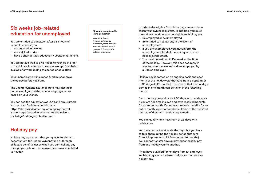### **Six weeks job-related education for unemployed**

You are entitled to education after 185 hours of unemployment if you

- are an unskilled worker
- are a skilled worker
- have a short tertiary education + vocational training.

You are not allowed to give notice to your job in order to participate in education. You are exempt from being available for work during the period of education.

Your unemployment insurance fund must approve the course before you start.

The unemployment insurance fund may also help find relevant, job-related education programmes based on your wishes.

You can see the educations at 3f.dk and amu kurs.dk You can also find them on this page: https://star.dk/indsatser-og-ordninger/jobrettetvoksen-og-efteruddannelse-veu/uddannelserfor-ledige/ordninger-jobrettet-veu/

### **Holiday pay**

Holiday pay is payment that you qualify for through benefits from the unemployment fund or through childcare benefits just as when you earn holiday pay through your job. As unemployed, you are also entitled to holiday.

#### **Unemployment benefits during education**

As unemployed you are entitled to unemployment benefits on an individual rate if you participate in jobrelated education.

In order to be eligible for holiday pay, you must have taken your own holidays first. In addition, you must meet these conditions to be eligible for holiday pay:

- Be employed or be unemployed.
- Be entitled to holiday pay in the event of unemployment.
- If you are unemployed, you must inform the unemployment fund of the holiday on the first holiday at the latest.
- You must be resident in Denmark at the time of the holiday. However, this does not apply if you are a frontier worker and are employed by a Danish employer.

Holiday pay is earned on an ongoing basis and each month of the holiday year that runs from 1 September to 31 August (12 months). This means that the holidays earned in one month can be taken in the following month.

Each month, you qualify for 2.08 days with holiday pay if you are full-time insured and have received benefits for an entire month. If you do not receive benefits for an entire month, a proportional calculation of the qualified number of days with holiday pay is made.

You can qualify for a maximum of 25 days with holiday pay.

You can choose to set aside the days, but you have to take them during the holiday period that runs from 1 September to 31 December (16 months). You cannot transfer days qualifying for holiday pay from one holiday year to another.

If you have qualified for holidays from an employer, such holidays must be taken before you can receive holiday pay.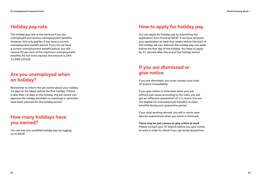### **Holiday pay rate**

The holiday pay rate is the same as if you are unemployed and receive unemployment benefits. However, this only applies if you have a current unemployment benefit period. If you do not have a current unemployment benefit period, you will receive 82 per cent of the maximum unemployment benefits (for full-time insured, the amount is DKK 15,868 (2022)).

### **Are you unemployed when on holiday?**

Remember to inform the job centre about your holiday 14 days at the latest before the first holiday. If there is less than 14 days to the holiday, the job centre can approve the holiday provided no meetings or activities have been planned for the holiday period.

### **How many holidays have you earned?**

You can see your qualified holiday pay by logging on to Mit3F.

### **How to apply for holiday pay**

You can apply for holiday pay by submitting the application form found at Mit3F. If we have received your application at least four weeks before the start of the holiday, we can disburse the holiday pay one week before the first day of the holiday. You have to apply by 31 January after the end of the holiday period.

### **If you are dismissed or give notice**

If you are dismissed, you must contact your local 3F branch immediately.

If you give notice or otherwise leave your job without just cause according to the rules, you will get an "effective quarantine" of 111 hours. You are not eligible for unemployment benefits or other benefits during your quarantine period.

If you stop working abroad, you will in some case also be quarantined when you arrive in Denmark.

**There may be just causes to give notice at work** Please contact your 3F branch before you give notice at work in order to check if you can avoid quarantine.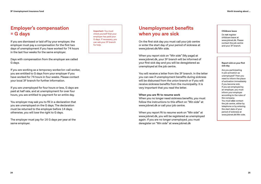### **Employer's compensation = G days**

If you are dismissed or laid off by your employer, the employer must pay a compensation for the first two days of unemployment if you have worked for 74 hours in the last four weeks for the same employer.

Days with compensation from the employer are called G days.

If you are working as a temporary worker/on-call worker, you are entitled to G days from your employer if you have worked for 74 hours in four weeks. Please contact your local 3F branch for further information.

If you are unemployed for four hours or less, G days are paid at half rate, and at unemployment for over four hours, you are entitled to payment for an entire day.

You employer may ask you to fill in a declaration that you are unemployed on the G days. The declaration must be returned to the employer before 14 days; otherwise, you will lose the right to G days.

The employer must pay for 16 G days per year at the same employer.

**Important**: You must check yourself that your employer has paid your G days. If necessary, you can ask your 3F branch for help.

### **Unemployment benefits when you are sick**

On the first sick day you must call your job centre or enter the start day of your period of sickness at www.jobnet.dk/Min side.

When you report sick on "Min side" (My page) at www.jobnet.dk, your 3F branch will be informed of your first sick day and you will be deregistered as unemployed at the job centre.

You will receive a letter from the 3F branch. In the letter you can see if unemployment benefits during sickness will be disbursed from the union branch or if you will receive sickness benefits from the municipality. It is very important that you read the letter.

#### **When you are fit to resume work**

When you no longer need sickness benefits, you must follow the instructions to this effect on "Min side" at www.jobnet.dk or call your job centre.

When you report fit to resume work on "Min side" at www.jobnet.dk, you will be registered as unemployed again. If you are no longer unemployed, you must deregister on "Min side" at www.jobnet.dk

#### **Childcare leave**

Do **not** register childcare leave at www.jobnet.dk. Please contact the job centre and your 3F branch.

#### **Report sick on your first sick day**

Are you participating in job activation as unemployed? Then you need to inform the place of activation immediately if you become sick. If you are employed by an employer, you must inform your employer according to the rules of the company. You must **also** contact the job centre, either by telephone or by entering the start date of your period of sickness at www.jobnet.dk/Min side.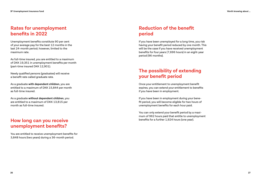### **Rates for unemployment benefits in 2022**

Unemployment benefits constitute 90 per cent of your average pay for the best 12 months in the last 24-month period; however, limited to the maximum rate.

As full-time insured, you are entitled to a maximum of DKK 19,351 in unemployment benefits per month (part-time insured DKK 12,901).

Newly qualified persons (graduates) will receive a benefit rate called graduate rate.

As a graduate **with dependent children**, you are entitled to a maximum of DKK 15,844 per month as full-time insured.

As a graduate **without dependent children**, you are entitled to a maximum of DKK 13,815 per month as full-time insured.

### **How long can you receive unemployment benefits?**

You are entitled to receive unemployment benefits for 3,848 hours (two years) during a 36-month period.

### **Reduction of the benefit period**

If you have been unemployed for a long time, you risk having your benefit period reduced by one month. This will be the case if you have received unemployment benefits for four years (7,696 hours) in an eight-year period (96 months).

### **The possibility of extending your benefit period**

Once your entitlement to unemployment benefit expires, you can extend your entitlement to benefits if you have been in employment.

If you have been in employment during your benefit period, you will become eligible for two hours of unemployment benefits for each hour paid.

You can only extend your benefit period by a maximum of 962 hours paid that entitle to unemployment benefits for a further 1,924 hours (one year).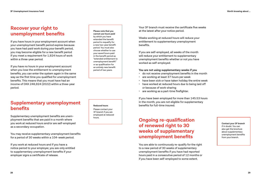### **Recover your right to unemployment benefits**

If you have hours in your employment account when your unemployment benefit period expires because you have had paid work during your benefit period, you may become eligible for a new benefit period if you meet a requirement for 1,924 hours of work within a three-year period.

If you have no hours in your employment account when you lose the entitlement to unemployment benefits, you can enter the system again in the same way as the first time you qualified for unemployment benefits. This means that you must have had an income of DKK 246,924 (2022) within a three-year period.

**Please note that you cannot use hours paid** by which you have extended the benefit period to requalify for a new two-year benefit period. You must also choose whether to use your saved hours paid in the benefit period as "extended entitlement to unemployment benefit" or as qualification for an entirely new benefit period of two years.

Your 3F branch must receive the certificate five weeks at the latest after your notice period.

Weeks working at reduced hours will reduce your entitlement to supplementary unemployment benefits.

If you are self-employed, all weeks of the month will reduce your entitlement to supplementary unemployment benefits whether or not you have worked as self-employed.

#### **You are not using supplementary weeks if you**

- do not receive unemployment benefits in the month
- are working at least 37 hours per week
- have been sick or have taken holiday the entire week
- have worked at reduced hours due to being laid off or because of work-sharing
- are working as a part-time firefighter.

If you have been employed for more than 145.53 hours in the month, you are not eligible for supplementary benefits for full-time insured.

### **Ongoing re-qualification of renewed right to 30 weeks of supplementary unemployment benefits**

You are able to continuously re-qualify for the right to a new period of 30 weeks of supplementary unemployment benefits if you have had reported hours paid in a consecutive period of 12 months or if you have been self-employed to some extent.

**Contact your 3F branch**  if in doubt. You can also get the brochure about supplementary unemployment benefits from your branch.

### **Supplementary unemployment benefits**

Supplementary unemployment benefits are unemployment benefits that are paid in a month where you work at reduced hours and/or are self-employed as a secondary occupation.

You may receive supplementary unemployment benefits for a period of 30 weeks within a 104-week period.

If you work at reduced hours and if you have a notice period to your employer, you are only entitled to supplementary unemployment benefits if your employer signs a certificate of release.

### **Reduced hours**

Please contact your 3F branch if you are employed at reduced hours.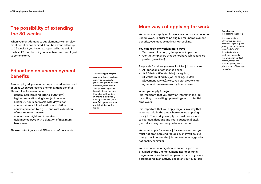### **The possibility of extending the 30 weeks**

When your entitlement to supplementary unemployment benefits has expired it can be extended for up to 12 weeks if you have had reported hours paid in the last 12 months or if you have been self-employed to some extent.

### **Education on unemployment benefits**

As unemployed, you can participate in education and courses when you receive unemployment benefits. This applies for example for:

- general adult training (8th to 10th form)
- higher preparation single subject courses (under 20 hours per week) with day tuition
- courses at an adult education association
- courses provided by e.g. 3F and with a duration of maximum two weeks
- education at night and in weekends
- guidance courses with a duration of maximum two weeks.

Please contact your local 3F branch before you start.

#### **You must apply for jobs**

As unemployed, you have a duty to be actively job-seeking in your entire unemployment period. Your job-seeking must be realistic and serious. If you have difficulties in finding a job by only looking for work in your own field, you must also apply for jobs in other fields.

### **More ways of applying for work**

You must start applying for work as soon as you become unemployed. In order to be eligible for unemployment benefits, you must be actively job-seeking.

#### **You can apply for work in more ways**

- Written application, by telephone, in person
- Contact employers that do not have job vacancies posted (uninvited).

Proposals for where you may look for job vacancies

- At jobnet.dk or other sites online
- At 3f.dk/Mit3F under Min jobsøgning/ 3F Jobformidling (My job-seeking/3F Job placement service). Here, you can create a job agent and receive relevant job vacancies.

#### **When you apply for a job**

It is important that you show an interest in the job by writing to or setting up meetings with potential employers.

It is important that you apply for jobs in a way that is normal within the area where you are applying for a job. The work you apply for must correspond to your qualifications and your educational background and any courses you have attended.

You must apply for several jobs every week and you must not omit applying for jobs even if you believe that you will not get the job due to your age, gender, nationality or similar.

You are under an obligation to accept a job offer provided by the unemployment insurance fund/ the job centre and another operator - also if you are participating in an activity based on your "Min Plan"

#### **Register your job-seeking in job log**

You must register all your job-seeking activities in job log. The job log can be found at www.3f.dk/Mit3F. Provide details for each job you apply for: Employer, contact person, telephone number, place, which job, number of hours per week etc.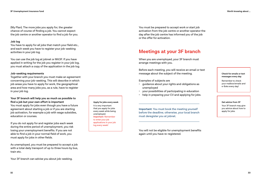(My Plan). The more jobs you apply for, the greater chance of course of finding a job. You cannot expect the job centre or another operator to find a job for you.

#### **Job log**

You have to apply for all jobs that match your field etc., and each week you have to register your job-seeking activities in your job log.

You can use the job log at jobnet or Mit3F. If you have applied in writing for the job you register in your job log. you must attach a copy of the application in the job log.

#### **Job-seeking requirements**

Together with your branch you must make an agreement concerning your job-seeking. This will describe in which job areas you have to apply for work, the geographical area and how many jobs you, as a rule, have to register in your job log.

#### **Your 3F branch will help you as much as possible to find a job but your own effort is important**

You must apply for jobs even though you have a future agreement about starting a job or if you are starting job activation, for example a job with wage subsidies, education or courses.

If you do not apply for and register jobs each week during the entire period of unemployment, you risk losing your unemployment benefits. If you are not able to find a job in your normal field of work, you must apply for jobs in other fields.

As unemployed, you must be prepared to accept a job with a total daily transport of up to three hours by bus, train etc.

Your 3F branch can advise you about job-seeking.

You must be prepared to accept work or start job activation from the job centre or another operator the day after the job centre has informed you of the job or the offer for activation.

### **Meetings at your 3F branch**

When you are unemployed, your 3F branch must arrange meetings with you.

Before each meeting, you will receive an email or text message about the subject of the meeting.

Examples of subjects are

- guidance about your rights and obligations as unemployed
- your possibilities of participating in education
- help in preparing your CV and applying for jobs.

**Important**: You must book the meeting yourself before the deadline; otherwise, your local branch must deregister you at jobnet.

You will not be eligible for unemployment benefits again until you have re-registered.

**Check for emails or text messages every day**

Remember to check your mailbox/emails and e-Boks every day!

#### **Get advice from 3F**

Your 3F branch may give you advice about how to apply for jobs.

#### **Apply for jobs every week** It is very important

that you apply for jobs every week while being unemployed. **Important**: Remember to enter your job applications in your job log every week!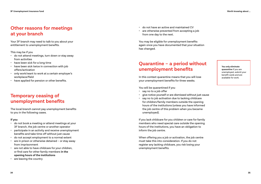### **Other reasons for meetings at your branch**

Your 3F branch may need to talk to you about your entitlement to unemployment benefits.

This may be if you

- do not attend meetings, turn down or stay away from activities
- have been sick for a long time
- have been sick twice in connection with job offers/activation
- only work/want to work at a certain employer's workplace/field
- have applied for pension or other benefits.

### **Temporary ceasing of unemployment benefits**

The local branch cannot pay unemployment benefits to you in the following cases.

#### **If you**

- do not book a meeting or attend meetings at your 3F branch, the job centre or another operator
- participate in an activity and receive unemployment benefits and take time off without just cause
- do not accept employment to a normal extent
- are in prison or otherwise detained or stay away from imprisonment
- are not able to have childcare for your children, or find care for other family members **in the opening hours of the institutions**
- are leaving the country
- do not have an active and maintained CV
- are otherwise prevented from accepting a job from one day to the next.

You may be eligible for unemployment benefits again once you have documented that your situation has changed.

### **Quarantine – a period without unemployment benefits**

In this context quarantine means that you will lose your unemployment benefits for three weeks.

You will be quarantined if you

- say no to a job offer
- give notice yourself or are dismissed without just cause
- say no to job activation due to lacking childcare for children/family members outside the opening hours of the institutions (unless you have informed the job centre of this problem when you became unemployed).

If you lack childcare for you children or care for family members who need special care outside the opening hours of the institutions, you have an obligation to inform the job centre.

When offering you a job or activation, the job centre must take this into consideration. If you do not register any lacking childcare, you risk losing your unemployment benefits.

**You only eliminate quarantine** if you are unemployed, submit your benefit cards and are available for work.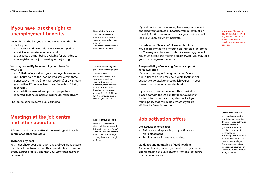### **If you have lost the right to unemployment benefits**

According to the law you are not available on the job market if you

- are quarantined twice within a 12-month period
- are sick or otherwise unable to work
- are assessed as not being available for work due to non-registration of job-seeking in the job log.

### **You may re-qualify for unemployment benefits when you**

- **are full-time insured** and your employer has reported 300 hours paid to the Income Register within three consecutive months (monthly reporting) or 276 hours paid within 12 consecutive weeks (weekly or 14 days reporting).
- **are part-time insured** and your employer has reported 150 hours paid or 138 hours, respectively.

The job must not receive public funding.

### **Meetings at the job centre and other operators**

It is important that you attend the meetings at the job centre or at other operators.

### **Invitations by post**

You must check your post each day and you must ensure that the job centre and the other operator have a correct postal address for you and that your letter box has your name on it.

#### **Be available for work**

You can only receive unemployment benefits if you are prepared to take on a job. This means that you must be available for work.

#### **An extra possibility – in particular self-employed**

You must have completed the income year where you lost your entitlement to unemployment benefits. In addition, you must have had an income of at least DKK 246,924 as full-time insured in one income year (2022).

#### **Letters through e-Boks** Have you once asked

the municipality to send letters to you via e-Boks? Then you will only receive invitations for meetings at the job centre through e-Boks.

If you do not attend a meeting because you have not changed your address or because you do not make it possible for the postman to deliver your post, you will lose your unemployment benefits.

#### **Invitations on "Min side" at www.jobnet.dk**

You can be invited to a meeting on "Min side" at jobnet. dk. You may also be asked to book a meeting yourself. You must attend the meeting as otherwise, you may lose your unemployment benefits.

### **The possibility of receiving financial support for repatriation**

If you are a refugee, immigrant or has Danish dual citizenship, you may be eligible for financial support to go back to or establish yourself in your original home country (repatriation).

If you wish to hear more about this possibility, please contact the Danish Refugee Council for further information. You may also contact your municipality that will decide whether you are eligible for financial support.

### **Job activation offers**

Job activation offers are:

- Guidance and upgrading of qualifications
- Work placement
- Employment with wage subsidies.

### **Guidance and upgrading of qualifications**

As unemployed, you can get an offer for guidance and upgrading of qualifications from the job centre or another operator.

**Important**: Check every day if you have received any letters. If you do not attend meetings, you may lose unemployment benefits.

#### **Grants for books etc.**

You may be entitled to grants for e.g. materials if you are in job activation with for example guidance, education or other updating of qualifications. It is also possible to "buy" an employee so that the person may guide you. Some unemployed may also receive payment of transport. Please contact your job centre.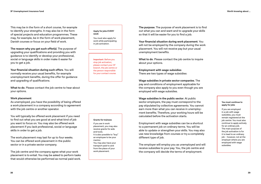This may be in the form of a short course, for example to identify your strengths. It may also be in the form of special projects and education programmes. These may, for example, be in the form of work placement, Danish courses or focus on your field of work.

**The reason why you get such offer(s)**. The purpose of upgrading your qualifications and providing you with guidance is to identify or develop your professional, social or language skills in order make it easier for you to get a job.

**Your financial situation during such offers**. You will normally receive your usual benefits, for example unemployment benefits, during the offer for guidance and upgrading of qualifications.

**What to do**. Please contact the job centre to hear about your options.

#### **Work placement**

As unemployed, you have the possibility of being offered a work placement in a company according to agreement with the job centre or another operator.

You will typically be offered work placement if you need to find out what you are good at and what kind of job you want to focus on. You may also be offered work placement if you lack professional, social or language skills in order to get a job.

The work placement may last for up to four weeks. You can be offered work placement in the public sector or in a private sector company.

The job centre and the company agree what your work placement is to entail. You may be asked to perform tasks that would otherwise be performed as normal paid work.

#### **Apply for jobs EVERY week**

You must also apply for work while participating in job activation.

**Important**: Before you stop job activation, please contact your 3F branch, the job centre or the person responsible for your contact course.

#### **Grants for trainees** If you are in work placement, you may also receive grants for aids and tools. It is also possible to "buy" an employee to be your mentor. You may also have your transport paid to and from the place of your work placement.

**The purpose**. The purpose of work placement is to find out what you can and want and to upgrade your skills so that it will be easier for you to find a job.

**Your financial situation during work placement**. You will not be employed by the company during the work placement. You will not receive pay but your usual unemployment benefits.

**What to do**. Please contact the job centre to inquire about your options.

**Employment with wage subsidies** There are two types of wage subsidies:

**Wage subsidies in private sector companies**. The pay and conditions of employment applicable for the company also apply to you even though you are employed with wage subsidies.

**Wage subsidies in the public sector**. At public sector employers, the pay must correspond to the pay stipulated by collective agreements. You cannot earn more than what you can receive in unemployment benefits. Therefore, your working hours will be calculated before the activation starts.

Employment with wage subsidies can be a shortcut to a permanent job on ordinary terms. You will be able to update or strengthen your skills. You may also use new knowledge from courses or try a completely different type of job.

The employer will employ you as unemployed and will receive subsidies to your pay. You, the job centre and the company will decide the terms of employment.

#### **You must continue to apply for jobs**

If you are employed in a job with wage subsidies, you must remain registered at the job centre. You must also continue to apply actively for an ordinary job. The main purpose of the job activation is for it to lead to an ordinary job – however, not at the employer where you are employed with wage subsidies.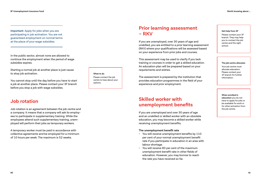**Important**: Apply for jobs when you are participating in job activation. You are not guaranteed employment on normal terms at the place of your wage subsidies.

In the public sector, almost none are allowed to continue the employment when the period of wage subsidies expires.

Starting a normal job at another place is just cause to stop job activation.

You cannot stop until the day before you have to start a job at another place. Please contact your 3F branch before you stop a job with wage subsidies.

### **Job rotation**

Job rotation is an agreement between the job centre and a company. It means that a company will ask its employees to participate in supplementary training. While the employees attend such supplementary training, unemployed will perform their jobs as temporary workers.

A temporary worker must be paid in accordance with collective agreements and be employed for a minimum of 10 hours per week. The maximum is 52 weeks.

**What to do** Please contact the job centre to hear about your options.

### **Prior learning assessment – RKV**

If you are unemployed, over 30 years of age and unskilled, you are entitled to a prior learning assessment (RKV) where your qualifications will be assessed based on your experience from prior jobs and courses.

This assessment may be used to clarify if you lack training or courses in order to get a skilled education. An education plan will be prepared based on your requirements and wishes.

The assessment is prepared by the institution that provides education programmes in the field of your experience and prior employment.

### **Skilled worker with unemployment benefits**

If you are unemployed and over 30 years of age and an unskilled or skilled worker with an obsolete education, you may become a skilled worker while receiving unemployment benefits.

#### **The unemployment benefit rate**

- You will receive unemployment benefits by 110 per cent of your normal unemployment benefit rate if you participate in education in an area with labour shortage.
- You will receive 80 per cent of the maximum unemployment benefit rate in other fields of education. However, you may borrow to reach the rate you have received so far.

#### **Get help from 3F**

Please contact your 3F branch. They may help you to contact the job centre and the right school.

#### **The job centre allocates**

Your job centre must allocate education. Please contact your 3F branch for further information.

#### **When enrolled in education** you do not have to apply for jobs or be available for work or for other activation from the job centre.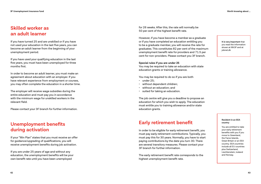### **Skilled worker as an adult learner**

If you have turned 25 and are unskilled or if you have not used your education in the last five years, you can become an adult learner from the beginning of your unemployment period.

If you have used your qualifying education in the last five years, you must have been unemployed for three months first.

In order to become an adult learner, you must make an agreement about education with an employer. If you have relevant experience from employment or courses, you may often complete the education in a shorter time.

The employer will receive wage subsidies during the entire education and must pay you in accordance with the minimum wage for unskilled workers in the relevant field.

Please contact your 3F branch for further information.

### **Unemployment benefits during activation**

If your "Min Plan" states that you must receive an offer for guidance/upgrading of qualifications, you will receive unemployment benefits during job activation.

If you are under 25 years of age and without any education, the unemployment benefits will be your own benefit rate until you have been unemployed

for 26 weeks. After this, the rate will normally be 50 per cent of the highest benefit rate.

However, if you have become a member as a graduate or if you have completed an education entitling you to be a graduate member, you will receive the rate for graduates. This constitutes 82 per cent of the maximum unemployment benefit rate for providers and 71.5 per cent for non-providers. Please contact you 3F branch.

#### **Special rules if you are under 25**

You may be required to take an education with state education grants or training allowance.

You may be required to do so if you are both

- under 25;
- without dependent children;
- without an education; and
- suited for taking an education.

The job centre will give you a deadline to propose an education for which you wish to apply. The education must entitle you to training allowance and/or state education grants.

### **Early retirement benefit**

In order to be eligible for early retirement benefit, you must pay early retirement contributions. Typically, you must pay this for 30 years. Normally, you have to start paying contributions by the date you turn 30. There are several transitory measures. Please contact your 3F branch for further information.

The early retirement benefit rate corresponds to the highest unemployment benefit rate.

**It is very important** that you read the information shown at Mit3F and at jobnet.dk

#### **Resident in an EEA country**

You are entitled to take your early retirement benefits with you if you move to Greenland, the Faroe Islands, Great Britain or an EEA country. EEA countries include all EU countries plus Switzerland, Liechtenstein, Iceland and Norway.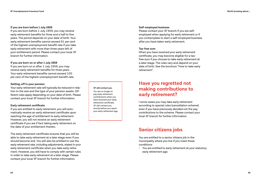#### **If you are born before 1 July 1959**

If you are born before 1 July 1959, you may receive early retirement benefits for three and a half to five years. The period depends on your date of birth. Your early retirement benefits cannot exceed 91 per cent of the highest unemployment benefit rate if you take early retirement with more than three years left of your entitlement period. Please contact your local 3F branch for further information.

#### **If you are born on or after 1 July 1959**

If you are born on or after 1 July 1959, you may receive early retirement benefits for three years. Your early retirement benefits cannot exceed 100 per cent of the highest unemployment benefit rate.

### **Setting-off in your pension**

Your early retirement rate will typically be reduced in rela tion to the size and the type of your pension assets. Dif ferent rules apply depending on your date of birth. Please contact your local 3F branch for further information.

#### **Early retirement certificate**

If you are entitled to early retirement, you will auto matically receive an early retirement certificate upon reaching the age of entitlement to early retirement. However, you will not receive an early retirement certificate if you are if fact taking early retirement on the date of your entitlement thereto.

The early retirement certificate ensures that you will be able to take early retirement at a later stage even if you should become sick. You will also be entitled to use the early retirement rate, including adjustments, stated in your early retirement certificate when you take early retire ment. However, you still have to comply with certain rules in order to take early retirement at a later stage. Please contact your local 3F branch for further information.

**3F will contact you** You are no longer to pay early retirement contributions when you have received your early retirement certificate. 3F will contact you shortly before you reach your early retirement age.

#### **Self-employed business**

Please contact your 3F branch if you are selfemployed when applying for early retirement or if you contemplate to start a self-employed business after you have taken early retirement.

#### **Tax-free sum**

When you have received your early retirement certificate, you may become eligible for a taxfree sum if you choose to take early retirement at a later stage. The rules vary and depend on your date of birth. See the brochure "How to take early retirement".

### **Have you regretted not making contributions to early retirement?**

I some cases you may take early retirement according to special rules (cancellation scheme) even if you have previously decided not the pay contributions to the scheme. Please contact your local 3F branch for further information.

### **Senior citizens jobs**

You are entitled to a senior citizens job in the municipality where you live if you meet these conditions:

• You are entitled to early retirement at your statutory early retirement age.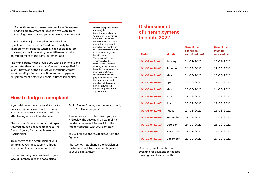• Your entitlement to unemployment benefits expires and you are five years or less than five years from reaching the age where you can take early retirement.

A senior citizens job is employment stipulated by collective agreements. You do not qualify for unemployment benefits when in a senior citizens job. However, you will maintain your entitlement to take early retirement at the early retirement age.

The municipality must provide you with a senior citizens job no later than two months after you have applied for such – however, at the earliest when your unemployment benefit period expires. Remember to apply for early retirement before you senior citizens job expires.

### **How to lodge a complaint**

If you wish to lodge a complaint about a decision made by your local 3F branch, you must do so four weeks at the latest after having received the decision.

The decision from your branch will specify that you must lodge a complaint to The Danish Agency for Labour Market and Recruitment.

Irrespective of the destination of your complaint, you must submit it through your unemployment insurance fund.

You can submit your complaint to your local 3F branch or to the head office:

#### **How to apply for a senior citizens job**

Submit your application to the municipality three months at the earliest before the expiry of your unemployment benefit period or two months at the latest after the expiry of your unemployment benefit period. The municipality must offer you a full-time senior citizens job with working hours stipulated by collective agreements if you are a full-time member of the unemployment insurance fund. For part-time insured members of the unemployment fund, the municipality must offer a part-time job.

Faglig Fælles Akasse, Kampmannsgade 4, DK-1790 Copenhagen V.

If we receive a complaint from you, we will review the case again. If we maintain our decision, we will forward it to the Agency together with your complaint.

You will receive the result direct from the Agency.

The Agency may change the decision of the branch both to your advantage **and** to your disadvantage.

### **Disbursement of unemployment benefits 2022**

| <b>Period</b>  | <b>Month</b> | <b>Benefit card</b><br>cannot be<br>submitted until | <b>Benefit card</b><br>must be<br>received on |
|----------------|--------------|-----------------------------------------------------|-----------------------------------------------|
| 01-01 to 31-01 | January      | 24-01-2022                                          | 26-01-2022                                    |
| 01-02 to 28-02 | February     | 21-02-2022                                          | 23-02-2022                                    |
| 01-03 to 31-03 | March        | 24-03-2022                                          | 28-03-2022                                    |
| 01-04 to 30-04 | April        | 22-04-2022                                          | 26-04-2022                                    |
| 01-05 to 31-05 | May          | 20-05-2022                                          | 24-05-2022                                    |
| 01-06 to 30-06 | June         | 23-06-2022                                          | 27-06-2022                                    |
| 01-07 to 31-07 | July         | 22-07-2022                                          | 26-07-2022                                    |
| 01-08 to 31-08 | August       | 24-08-2022                                          | 26-08-2022                                    |
| 01-09 to 30-09 | September    | 23-09-2022                                          | 27-09-2022                                    |
| 01-10 to 31-10 | October      | 24-10-2022                                          | 26-10-2022                                    |
| 01-11 to 30-11 | November     | 23-11-2022                                          | 25-11-2022                                    |
| 01-12 to 31-12 | December     | 20-12-2022                                          | 27-12-2022                                    |

Unemployment benefits are available for payment on the last banking day of each month.